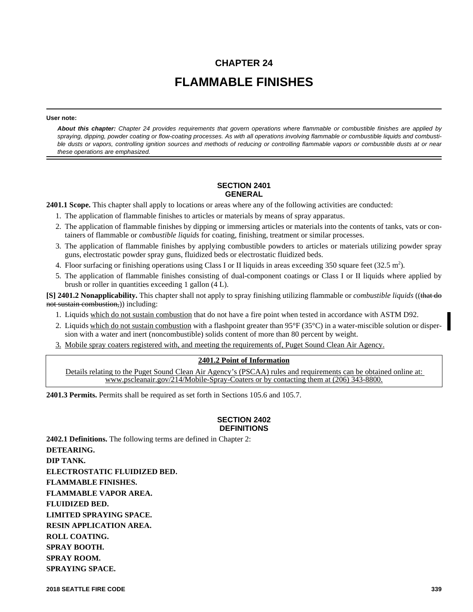# **CHAPTER 24 FLAMMABLE FINISHES**

#### **User note:**

*About this chapter: Chapter 24 provides requirements that govern operations where flammable or combustible finishes are applied by spraying, dipping, powder coating or flow-coating processes. As with all operations involving flammable or combustible liquids and combustible dusts or vapors, controlling ignition sources and methods of reducing or controlling flammable vapors or combustible dusts at or near these operations are emphasized.*

#### **SECTION 2401 GENERAL**

**2401.1 Scope.** This chapter shall apply to locations or areas where any of the following activities are conducted:

- 1. The application of flammable finishes to articles or materials by means of spray apparatus.
- 2. The application of flammable finishes by dipping or immersing articles or materials into the contents of tanks, vats or containers of flammable or *combustible liquids* for coating, finishing, treatment or similar processes.
- 3. The application of flammable finishes by applying combustible powders to articles or materials utilizing powder spray guns, electrostatic powder spray guns, fluidized beds or electrostatic fluidized beds.
- 4. Floor surfacing or finishing operations using Class I or II liquids in areas exceeding 350 square feet  $(32.5 \text{ m}^2)$ .
- 5. The application of flammable finishes consisting of dual-component coatings or Class I or II liquids where applied by brush or roller in quantities exceeding 1 gallon (4 L).

**[S] 2401.2 Nonapplicability.** This chapter shall not apply to spray finishing utilizing flammable or *combustible liquids* ((that do not sustain combustion,) including:

- 1. Liquids which do not sustain combustion that do not have a fire point when tested in accordance with ASTM D92.
- 2. Liquids which do not sustain combustion with a flashpoint greater than 95°F (35°C) in a water-miscible solution or dispersion with a water and inert (noncombustible) solids content of more than 80 percent by weight.
- 3. Mobile spray coaters registered with, and meeting the requirements of, Puget Sound Clean Air Agency.

#### **2401.2 Point of Information**

Details relating to the Puget Sound Clean Air Agency's (PSCAA) rules and requirements can be obtained online at: www.pscleanair.gov/214/Mobile-Spray-Coaters or by contacting them at (206) 343-8800.

**2401.3 Permits.** Permits shall be required as set forth in Sections 105.6 and 105.7.

#### **SECTION 2402 DEFINITIONS**

**2402.1 Definitions.** The following terms are defined in Chapter 2: **DETEARING. DIP TANK. ELECTROSTATIC FLUIDIZED BED. FLAMMABLE FINISHES. FLAMMABLE VAPOR AREA. FLUIDIZED BED. LIMITED SPRAYING SPACE. RESIN APPLICATION AREA. ROLL COATING. SPRAY BOOTH. SPRAY ROOM. SPRAYING SPACE.**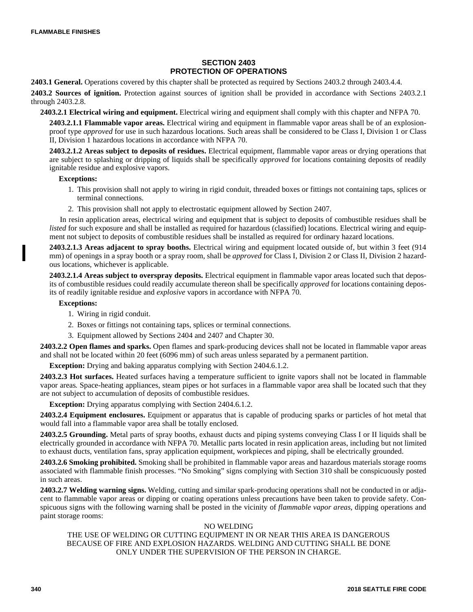#### **SECTION 2403 PROTECTION OF OPERATIONS**

**2403.1 General.** Operations covered by this chapter shall be protected as required by Sections 2403.2 through 2403.4.4.

**2403.2 Sources of ignition.** Protection against sources of ignition shall be provided in accordance with Sections 2403.2.1 through 2403.2.8.

**2403.2.1 Electrical wiring and equipment.** Electrical wiring and equipment shall comply with this chapter and NFPA 70.

**2403.2.1.1 Flammable vapor areas.** Electrical wiring and equipment in flammable vapor areas shall be of an explosionproof type *approved* for use in such hazardous locations. Such areas shall be considered to be Class I, Division 1 or Class II, Division 1 hazardous locations in accordance with NFPA 70.

**2403.2.1.2 Areas subject to deposits of residues.** Electrical equipment, flammable vapor areas or drying operations that are subject to splashing or dripping of liquids shall be specifically *approved* for locations containing deposits of readily ignitable residue and explosive vapors.

#### **Exceptions:**

- 1. This provision shall not apply to wiring in rigid conduit, threaded boxes or fittings not containing taps, splices or terminal connections.
- 2. This provision shall not apply to electrostatic equipment allowed by Section 2407.

In resin application areas, electrical wiring and equipment that is subject to deposits of combustible residues shall be *listed* for such exposure and shall be installed as required for hazardous (classified) locations. Electrical wiring and equipment not subject to deposits of combustible residues shall be installed as required for ordinary hazard locations.

**2403.2.1.3 Areas adjacent to spray booths.** Electrical wiring and equipment located outside of, but within 3 feet (914 mm) of openings in a spray booth or a spray room, shall be *approved* for Class I, Division 2 or Class II, Division 2 hazardous locations, whichever is applicable.

**2403.2.1.4 Areas subject to overspray deposits.** Electrical equipment in flammable vapor areas located such that deposits of combustible residues could readily accumulate thereon shall be specifically *approved* for locations containing deposits of readily ignitable residue and *explosive* vapors in accordance with NFPA 70.

#### **Exceptions:**

- 1. Wiring in rigid conduit.
- 2. Boxes or fittings not containing taps, splices or terminal connections.
- 3. Equipment allowed by Sections 2404 and 2407 and Chapter 30.

**2403.2.2 Open flames and sparks.** Open flames and spark-producing devices shall not be located in flammable vapor areas and shall not be located within 20 feet (6096 mm) of such areas unless separated by a permanent partition.

**Exception:** Drying and baking apparatus complying with Section 2404.6.1.2.

**2403.2.3 Hot surfaces.** Heated surfaces having a temperature sufficient to ignite vapors shall not be located in flammable vapor areas*.* Space-heating appliances, steam pipes or hot surfaces in a flammable vapor area shall be located such that they are not subject to accumulation of deposits of combustible residues.

**Exception:** Drying apparatus complying with Section 2404.6.1.2.

**2403.2.4 Equipment enclosures.** Equipment or apparatus that is capable of producing sparks or particles of hot metal that would fall into a flammable vapor area shall be totally enclosed.

**2403.2.5 Grounding.** Metal parts of spray booths, exhaust ducts and piping systems conveying Class I or II liquids shall be electrically grounded in accordance with NFPA 70. Metallic parts located in resin application areas, including but not limited to exhaust ducts, ventilation fans, spray application equipment, workpieces and piping, shall be electrically grounded.

**2403.2.6 Smoking prohibited.** Smoking shall be prohibited in flammable vapor areas and hazardous materials storage rooms associated with flammable finish processes. "No Smoking" signs complying with Section 310 shall be conspicuously posted in such areas.

**2403.2.7 Welding warning signs.** Welding, cutting and similar spark-producing operations shall not be conducted in or adjacent to flammable vapor areas or dipping or coating operations unless precautions have been taken to provide safety. Conspicuous signs with the following warning shall be posted in the vicinity of *flammable vapor areas*, dipping operations and paint storage rooms:

#### NO WELDING

#### THE USE OF WELDING OR CUTTING EQUIPMENT IN OR NEAR THIS AREA IS DANGEROUS BECAUSE OF FIRE AND EXPLOSION HAZARDS. WELDING AND CUTTING SHALL BE DONE ONLY UNDER THE SUPERVISION OF THE PERSON IN CHARGE.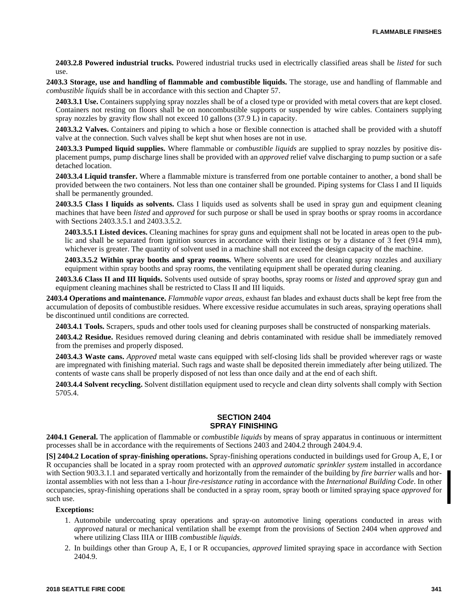**2403.2.8 Powered industrial trucks.** Powered industrial trucks used in electrically classified areas shall be *listed* for such use.

**2403.3 Storage, use and handling of flammable and combustible liquids.** The storage, use and handling of flammable and *combustible liquids* shall be in accordance with this section and Chapter 57.

**2403.3.1 Use.** Containers supplying spray nozzles shall be of a closed type or provided with metal covers that are kept closed. Containers not resting on floors shall be on noncombustible supports or suspended by wire cables. Containers supplying spray nozzles by gravity flow shall not exceed 10 gallons (37.9 L) in capacity.

**2403.3.2 Valves.** Containers and piping to which a hose or flexible connection is attached shall be provided with a shutoff valve at the connection. Such valves shall be kept shut when hoses are not in use.

**2403.3.3 Pumped liquid supplies.** Where flammable or *combustible liquids* are supplied to spray nozzles by positive displacement pumps, pump discharge lines shall be provided with an *approved* relief valve discharging to pump suction or a safe detached location.

**2403.3.4 Liquid transfer.** Where a flammable mixture is transferred from one portable container to another, a bond shall be provided between the two containers. Not less than one container shall be grounded. Piping systems for Class I and II liquids shall be permanently grounded.

**2403.3.5 Class I liquids as solvents.** Class I liquids used as solvents shall be used in spray gun and equipment cleaning machines that have been *listed* and *approved* for such purpose or shall be used in spray booths or spray rooms in accordance with Sections 2403.3.5.1 and 2403.3.5.2.

**2403.3.5.1 Listed devices.** Cleaning machines for spray guns and equipment shall not be located in areas open to the public and shall be separated from ignition sources in accordance with their listings or by a distance of 3 feet (914 mm), whichever is greater. The quantity of solvent used in a machine shall not exceed the design capacity of the machine.

**2403.3.5.2 Within spray booths and spray rooms.** Where solvents are used for cleaning spray nozzles and auxiliary equipment within spray booths and spray rooms, the ventilating equipment shall be operated during cleaning.

**2403.3.6 Class II and III liquids.** Solvents used outside of spray booths, spray rooms or *listed* and *approved* spray gun and equipment cleaning machines shall be restricted to Class II and III liquids.

**2403.4 Operations and maintenance.** *Flammable vapor areas*, exhaust fan blades and exhaust ducts shall be kept free from the accumulation of deposits of combustible residues. Where excessive residue accumulates in such areas, spraying operations shall be discontinued until conditions are corrected.

**2403.4.1 Tools.** Scrapers, spuds and other tools used for cleaning purposes shall be constructed of nonsparking materials.

**2403.4.2 Residue.** Residues removed during cleaning and debris contaminated with residue shall be immediately removed from the premises and properly disposed.

**2403.4.3 Waste cans.** *Approved* metal waste cans equipped with self-closing lids shall be provided wherever rags or waste are impregnated with finishing material. Such rags and waste shall be deposited therein immediately after being utilized. The contents of waste cans shall be properly disposed of not less than once daily and at the end of each shift.

**2403.4.4 Solvent recycling.** Solvent distillation equipment used to recycle and clean dirty solvents shall comply with Section 5705.4.

#### **SECTION 2404 SPRAY FINISHING**

**2404.1 General.** The application of flammable or *combustible liquids* by means of spray apparatus in continuous or intermittent processes shall be in accordance with the requirements of Sections 2403 and 2404.2 through 2404.9.4.

**[S] 2404.2 Location of spray-finishing operations.** Spray-finishing operations conducted in buildings used for Group A, E, I or R occupancies shall be located in a spray room protected with an *approved automatic sprinkler system* installed in accordance with Section 903.3.1.1 and separated vertically and horizontally from the remainder of the building by *fire barrier* walls and horizontal assemblies with not less than a 1-hour *fire-resistance rating* in accordance with the *International Building Code*. In other occupancies, spray-finishing operations shall be conducted in a spray room, spray booth or limited spraying space *approved* for such use.

#### **Exceptions:**

- 1. Automobile undercoating spray operations and spray-on automotive lining operations conducted in areas with *approved* natural or mechanical ventilation shall be exempt from the provisions of Section 2404 when *approved* and where utilizing Class IIIA or IIIB *combustible liquids*.
- 2. In buildings other than Group A, E, I or R occupancies, *approved* limited spraying space in accordance with Section 2404.9.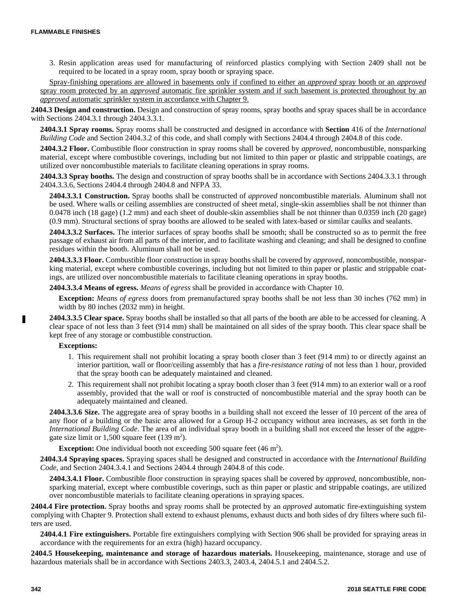3. Resin application areas used for manufacturing of reinforced plastics complying with Section 2409 shall not be required to be located in a spray room, spray booth or spraying space.

Spray-finishing operations are allowed in basements only if confined to either an *approved* spray booth or an *approved* spray room protected by an *approved* automatic fire sprinkler system and if such basement is protected throughout by an *approved* automatic sprinkler system in accordance with Chapter 9.

**2404.3 Design and construction.** Design and construction of spray rooms, spray booths and spray spaces shall be in accordance with Sections 2404.3.1 through 2404.3.3.1.

**2404.3.1 Spray rooms.** Spray rooms shall be constructed and designed in accordance with **Section** 416 of the *International Building Code* and Section 2404.3.2 of this code, and shall comply with Sections 2404.4 through 2404.8 of this code.

**2404.3.2 Floor.** Combustible floor construction in spray rooms shall be covered by *approved,* noncombustible, nonsparking material, except where combustible coverings, including but not limited to thin paper or plastic and strippable coatings, are utilized over noncombustible materials to facilitate cleaning operations in spray rooms.

**2404.3.3 Spray booths.** The design and construction of spray booths shall be in accordance with Sections 2404.3.3.1 through 2404.3.3.6, Sections 2404.4 through 2404.8 and NFPA 33.

**2404.3.3.1 Construction.** Spray booths shall be constructed of *approved* noncombustible materials. Aluminum shall not be used. Where walls or ceiling assemblies are constructed of sheet metal, single-skin assemblies shall be not thinner than 0.0478 inch (18 gage) (1.2 mm) and each sheet of double-skin assemblies shall be not thinner than 0.0359 inch (20 gage) (0.9 mm). Structural sections of spray booths are allowed to be sealed with latex-based or similar caulks and sealants.

**2404.3.3.2 Surfaces.** The interior surfaces of spray booths shall be smooth; shall be constructed so as to permit the free passage of exhaust air from all parts of the interior, and to facilitate washing and cleaning; and shall be designed to confine residues within the booth. Aluminum shall not be used.

**2404.3.3.3 Floor.** Combustible floor construction in spray booths shall be covered by *approved*, noncombustible, nonsparking material, except where combustible coverings, including but not limited to thin paper or plastic and strippable coatings, are utilized over noncombustible materials to facilitate cleaning operations in spray booths.

**2404.3.3.4 Means of egress.** *Means of egress* shall be provided in accordance with Chapter 10.

**Exception:** *Means of egress* doors from premanufactured spray booths shall be not less than 30 inches (762 mm) in width by 80 inches (2032 mm) in height.

**2404.3.3.5 Clear space.** Spray booths shall be installed so that all parts of the booth are able to be accessed for cleaning. A clear space of not less than 3 feet (914 mm) shall be maintained on all sides of the spray booth. This clear space shall be kept free of any storage or combustible construction.

#### **Exceptions:**

- 1. This requirement shall not prohibit locating a spray booth closer than 3 feet (914 mm) to or directly against an interior partition, wall or floor/ceiling assembly that has a *fire-resistance rating* of not less than 1 hour, provided that the spray booth can be adequately maintained and cleaned.
- 2. This requirement shall not prohibit locating a spray booth closer than 3 feet (914 mm) to an exterior wall or a roof assembly, provided that the wall or roof is constructed of noncombustible material and the spray booth can be adequately maintained and cleaned.

**2404.3.3.6 Size.** The aggregate area of spray booths in a building shall not exceed the lesser of 10 percent of the area of any floor of a building or the basic area allowed for a Group H-2 occupancy without area increases, as set forth in the *International Building Code*. The area of an individual spray booth in a building shall not exceed the lesser of the aggregate size limit or  $1,500$  square feet (139 m<sup>2</sup>).

**Exception:** One individual booth not exceeding 500 square feet (46 m<sup>2</sup>).

**2404.3.4 Spraying spaces.** Spraying spaces shall be designed and constructed in accordance with the *International Building Code*, and Section 2404.3.4.1 and Sections 2404.4 through 2404.8 of this code.

**2404.3.4.1 Floor.** Combustible floor construction in spraying spaces shall be covered by *approved*, noncombustible, nonsparking material, except where combustible coverings, such as thin paper or plastic and strippable coatings, are utilized over noncombustible materials to facilitate cleaning operations in spraying spaces.

**2404.4 Fire protection.** Spray booths and spray rooms shall be protected by an *approved* automatic fire-extinguishing system complying with Chapter 9. Protection shall extend to exhaust plenums, exhaust ducts and both sides of dry filters where such filters are used.

**2404.4.1 Fire extinguishers.** Portable fire extinguishers complying with Section 906 shall be provided for spraying areas in accordance with the requirements for an extra (high) hazard occupancy.

**2404.5 Housekeeping, maintenance and storage of hazardous materials.** Housekeeping, maintenance, storage and use of hazardous materials shall be in accordance with Sections 2403.3, 2403.4, 2404.5.1 and 2404.5.2.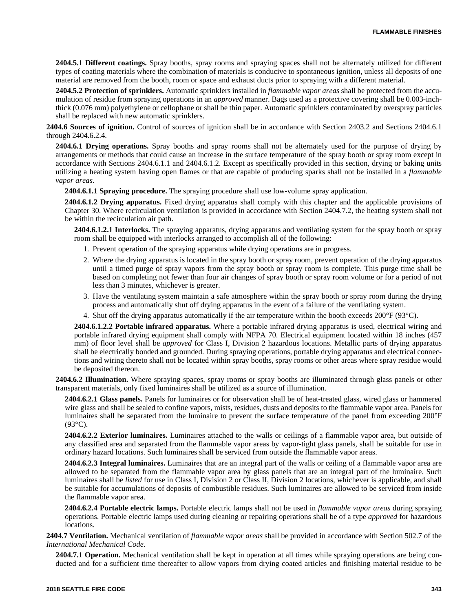**2404.5.1 Different coatings.** Spray booths, spray rooms and spraying spaces shall not be alternately utilized for different types of coating materials where the combination of materials is conducive to spontaneous ignition, unless all deposits of one material are removed from the booth, room or space and exhaust ducts prior to spraying with a different material.

**2404.5.2 Protection of sprinklers.** Automatic sprinklers installed in *flammable vapor areas* shall be protected from the accumulation of residue from spraying operations in an *approved* manner. Bags used as a protective covering shall be 0.003-inchthick (0.076 mm) polyethylene or cellophane or shall be thin paper. Automatic sprinklers contaminated by overspray particles shall be replaced with new automatic sprinklers.

**2404.6 Sources of ignition.** Control of sources of ignition shall be in accordance with Section 2403.2 and Sections 2404.6.1 through 2404.6.2.4.

**2404.6.1 Drying operations.** Spray booths and spray rooms shall not be alternately used for the purpose of drying by arrangements or methods that could cause an increase in the surface temperature of the spray booth or spray room except in accordance with Sections 2404.6.1.1 and 2404.6.1.2. Except as specifically provided in this section, drying or baking units utilizing a heating system having open flames or that are capable of producing sparks shall not be installed in a *flammable vapor areas*.

**2404.6.1.1 Spraying procedure.** The spraying procedure shall use low-volume spray application.

**2404.6.1.2 Drying apparatus.** Fixed drying apparatus shall comply with this chapter and the applicable provisions of Chapter 30. Where recirculation ventilation is provided in accordance with Section 2404.7.2, the heating system shall not be within the recirculation air path.

**2404.6.1.2.1 Interlocks.** The spraying apparatus, drying apparatus and ventilating system for the spray booth or spray room shall be equipped with interlocks arranged to accomplish all of the following:

- 1. Prevent operation of the spraying apparatus while drying operations are in progress.
- 2. Where the drying apparatus is located in the spray booth or spray room, prevent operation of the drying apparatus until a timed purge of spray vapors from the spray booth or spray room is complete. This purge time shall be based on completing not fewer than four air changes of spray booth or spray room volume or for a period of not less than 3 minutes, whichever is greater.
- 3. Have the ventilating system maintain a safe atmosphere within the spray booth or spray room during the drying process and automatically shut off drying apparatus in the event of a failure of the ventilating system.
- 4. Shut off the drying apparatus automatically if the air temperature within the booth exceeds  $200^{\circ}F (93^{\circ}C)$ .

**2404.6.1.2.2 Portable infrared apparatus.** Where a portable infrared drying apparatus is used, electrical wiring and portable infrared drying equipment shall comply with NFPA 70. Electrical equipment located within 18 inches (457 mm) of floor level shall be *approved* for Class I, Division 2 hazardous locations. Metallic parts of drying apparatus shall be electrically bonded and grounded. During spraying operations, portable drying apparatus and electrical connections and wiring thereto shall not be located within spray booths, spray rooms or other areas where spray residue would be deposited thereon.

**2404.6.2 Illumination.** Where spraying spaces, spray rooms or spray booths are illuminated through glass panels or other transparent materials, only fixed luminaires shall be utilized as a source of illumination.

**2404.6.2.1 Glass panels.** Panels for luminaires or for observation shall be of heat-treated glass, wired glass or hammered wire glass and shall be sealed to confine vapors, mists, residues, dusts and deposits to the flammable vapor area. Panels for luminaires shall be separated from the luminaire to prevent the surface temperature of the panel from exceeding 200°F (93°C).

**2404.6.2.2 Exterior luminaires.** Luminaires attached to the walls or ceilings of a flammable vapor area, but outside of any classified area and separated from the flammable vapor areas by vapor-tight glass panels, shall be suitable for use in ordinary hazard locations. Such luminaires shall be serviced from outside the flammable vapor areas.

**2404.6.2.3 Integral luminaires.** Luminaires that are an integral part of the walls or ceiling of a flammable vapor area are allowed to be separated from the flammable vapor area by glass panels that are an integral part of the luminaire. Such luminaires shall be *listed* for use in Class I, Division 2 or Class II, Division 2 locations, whichever is applicable, and shall be suitable for accumulations of deposits of combustible residues. Such luminaires are allowed to be serviced from inside the flammable vapor area.

**2404.6.2.4 Portable electric lamps.** Portable electric lamps shall not be used in *flammable vapor areas* during spraying operations. Portable electric lamps used during cleaning or repairing operations shall be of a type *approved* for hazardous locations.

**2404.7 Ventilation.** Mechanical ventilation of *flammable vapor areas* shall be provided in accordance with Section 502.7 of the *International Mechanical Code*.

**2404.7.1 Operation.** Mechanical ventilation shall be kept in operation at all times while spraying operations are being conducted and for a sufficient time thereafter to allow vapors from drying coated articles and finishing material residue to be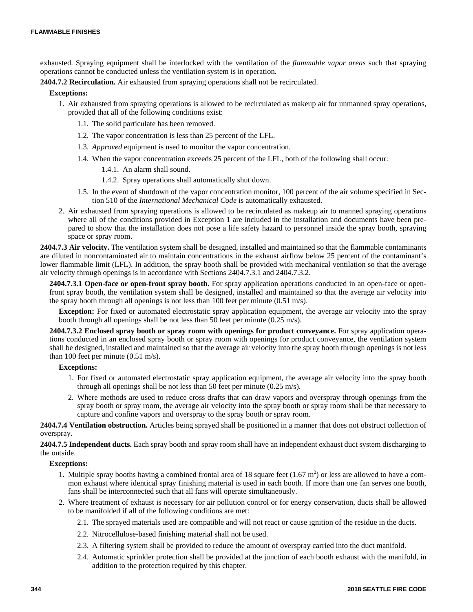exhausted. Spraying equipment shall be interlocked with the ventilation of the *flammable vapor areas* such that spraying operations cannot be conducted unless the ventilation system is in operation.

**2404.7.2 Recirculation.** Air exhausted from spraying operations shall not be recirculated.

#### **Exceptions:**

- 1. Air exhausted from spraying operations is allowed to be recirculated as makeup air for unmanned spray operations, provided that all of the following conditions exist:
	- 1.1. The solid particulate has been removed.
	- 1.2. The vapor concentration is less than 25 percent of the LFL.
	- 1.3. *Approved* equipment is used to monitor the vapor concentration.
	- 1.4. When the vapor concentration exceeds 25 percent of the LFL, both of the following shall occur:
		- 1.4.1. An alarm shall sound.
		- 1.4.2. Spray operations shall automatically shut down.
	- 1.5. In the event of shutdown of the vapor concentration monitor, 100 percent of the air volume specified in Section 510 of the *International Mechanical Code* is automatically exhausted.
- 2. Air exhausted from spraying operations is allowed to be recirculated as makeup air to manned spraying operations where all of the conditions provided in Exception 1 are included in the installation and documents have been prepared to show that the installation does not pose a life safety hazard to personnel inside the spray booth, spraying space or spray room.

**2404.7.3 Air velocity.** The ventilation system shall be designed, installed and maintained so that the flammable contaminants are diluted in noncontaminated air to maintain concentrations in the exhaust airflow below 25 percent of the contaminant's lower flammable limit (LFL). In addition, the spray booth shall be provided with mechanical ventilation so that the average air velocity through openings is in accordance with Sections 2404.7.3.1 and 2404.7.3.2.

**2404.7.3.1 Open-face or open-front spray booth.** For spray application operations conducted in an open-face or openfront spray booth, the ventilation system shall be designed, installed and maintained so that the average air velocity into the spray booth through all openings is not less than 100 feet per minute (0.51 m/s).

**Exception:** For fixed or automated electrostatic spray application equipment, the average air velocity into the spray booth through all openings shall be not less than 50 feet per minute (0.25 m/s).

**2404.7.3.2 Enclosed spray booth or spray room with openings for product conveyance.** For spray application operations conducted in an enclosed spray booth or spray room with openings for product conveyance, the ventilation system shall be designed, installed and maintained so that the average air velocity into the spray booth through openings is not less than 100 feet per minute (0.51 m/s).

#### **Exceptions:**

- 1. For fixed or automated electrostatic spray application equipment, the average air velocity into the spray booth through all openings shall be not less than 50 feet per minute (0.25 m/s).
- 2. Where methods are used to reduce cross drafts that can draw vapors and overspray through openings from the spray booth or spray room, the average air velocity into the spray booth or spray room shall be that necessary to capture and confine vapors and overspray to the spray booth or spray room.

**2404.7.4 Ventilation obstruction.** Articles being sprayed shall be positioned in a manner that does not obstruct collection of overspray.

**2404.7.5 Independent ducts.** Each spray booth and spray room shall have an independent exhaust duct system discharging to the outside.

#### **Exceptions:**

- 1. Multiple spray booths having a combined frontal area of 18 square feet  $(1.67 \text{ m}^2)$  or less are allowed to have a common exhaust where identical spray finishing material is used in each booth. If more than one fan serves one booth, fans shall be interconnected such that all fans will operate simultaneously.
- 2. Where treatment of exhaust is necessary for air pollution control or for energy conservation, ducts shall be allowed to be manifolded if all of the following conditions are met:
	- 2.1. The sprayed materials used are compatible and will not react or cause ignition of the residue in the ducts.
	- 2.2. Nitrocellulose-based finishing material shall not be used.
	- 2.3. A filtering system shall be provided to reduce the amount of overspray carried into the duct manifold.
	- 2.4. Automatic sprinkler protection shall be provided at the junction of each booth exhaust with the manifold, in addition to the protection required by this chapter.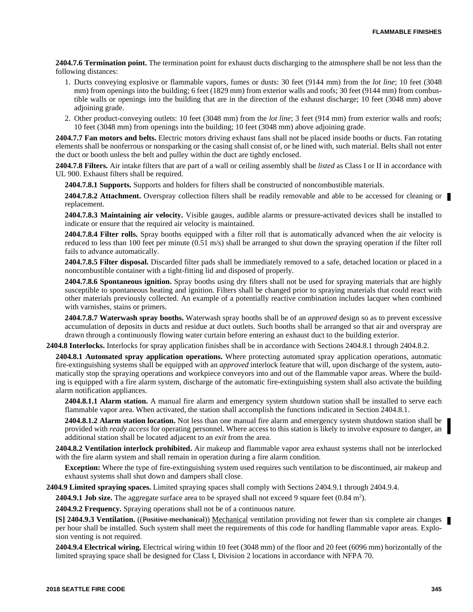**2404.7.6 Termination point.** The termination point for exhaust ducts discharging to the atmosphere shall be not less than the following distances:

- 1. Ducts conveying explosive or flammable vapors, fumes or dusts: 30 feet (9144 mm) from the *lot line*; 10 feet (3048 mm) from openings into the building; 6 feet (1829 mm) from exterior walls and roofs; 30 feet (9144 mm) from combustible walls or openings into the building that are in the direction of the exhaust discharge; 10 feet (3048 mm) above adjoining grade.
- 2. Other product-conveying outlets: 10 feet (3048 mm) from the *lot line*; 3 feet (914 mm) from exterior walls and roofs; 10 feet (3048 mm) from openings into the building; 10 feet (3048 mm) above adjoining grade.

**2404.7.7 Fan motors and belts.** Electric motors driving exhaust fans shall not be placed inside booths or ducts. Fan rotating elements shall be nonferrous or nonsparking or the casing shall consist of, or be lined with, such material. Belts shall not enter the duct or booth unless the belt and pulley within the duct are tightly enclosed.

**2404.7.8 Filters.** Air intake filters that are part of a wall or ceiling assembly shall be *listed* as Class I or II in accordance with UL 900. Exhaust filters shall be required.

**2404.7.8.1 Supports.** Supports and holders for filters shall be constructed of noncombustible materials.

**2404.7.8.2 Attachment.** Overspray collection filters shall be readily removable and able to be accessed for cleaning or replacement.

**2404.7.8.3 Maintaining air velocity.** Visible gauges, audible alarms or pressure-activated devices shall be installed to indicate or ensure that the required air velocity is maintained.

**2404.7.8.4 Filter rolls.** Spray booths equipped with a filter roll that is automatically advanced when the air velocity is reduced to less than 100 feet per minute (0.51 m/s) shall be arranged to shut down the spraying operation if the filter roll fails to advance automatically.

**2404.7.8.5 Filter disposal.** Discarded filter pads shall be immediately removed to a safe, detached location or placed in a noncombustible container with a tight-fitting lid and disposed of properly.

**2404.7.8.6 Spontaneous ignition.** Spray booths using dry filters shall not be used for spraying materials that are highly susceptible to spontaneous heating and ignition. Filters shall be changed prior to spraying materials that could react with other materials previously collected. An example of a potentially reactive combination includes lacquer when combined with varnishes, stains or primers.

**2404.7.8.7 Waterwash spray booths.** Waterwash spray booths shall be of an *approved* design so as to prevent excessive accumulation of deposits in ducts and residue at duct outlets. Such booths shall be arranged so that air and overspray are drawn through a continuously flowing water curtain before entering an exhaust duct to the building exterior.

**2404.8 Interlocks.** Interlocks for spray application finishes shall be in accordance with Sections 2404.8.1 through 2404.8.2.

**2404.8.1 Automated spray application operations.** Where protecting automated spray application operations, automatic fire-extinguishing systems shall be equipped with an *approved* interlock feature that will, upon discharge of the system, automatically stop the spraying operations and workpiece conveyors into and out of the flammable vapor areas. Where the building is equipped with a fire alarm system, discharge of the automatic fire-extinguishing system shall also activate the building alarm notification appliances.

**2404.8.1.1 Alarm station.** A manual fire alarm and emergency system shutdown station shall be installed to serve each flammable vapor area. When activated, the station shall accomplish the functions indicated in Section 2404.8.1.

**2404.8.1.2 Alarm station location.** Not less than one manual fire alarm and emergency system shutdown station shall be provided with *ready access* for operating personnel. Where access to this station is likely to involve exposure to danger, an additional station shall be located adjacent to an *exit* from the area.

**2404.8.2 Ventilation interlock prohibited.** Air makeup and flammable vapor area exhaust systems shall not be interlocked with the fire alarm system and shall remain in operation during a fire alarm condition.

**Exception:** Where the type of fire-extinguishing system used requires such ventilation to be discontinued, air makeup and exhaust systems shall shut down and dampers shall close.

**2404.9 Limited spraying spaces.** Limited spraying spaces shall comply with Sections 2404.9.1 through 2404.9.4.

**2404.9.1 Job size.** The aggregate surface area to be sprayed shall not exceed 9 square feet  $(0.84 \text{ m}^2)$ .

**2404.9.2 Frequency.** Spraying operations shall not be of a continuous nature.

**[S] 2404.9.3 Ventilation.** ((Positive mechanical)) Mechanical ventilation providing not fewer than six complete air changes per hour shall be installed. Such system shall meet the requirements of this code for handling flammable vapor areas. Explosion venting is not required.

**2404.9.4 Electrical wiring.** Electrical wiring within 10 feet (3048 mm) of the floor and 20 feet (6096 mm) horizontally of the limited spraying space shall be designed for Class I, Division 2 locations in accordance with NFPA 70.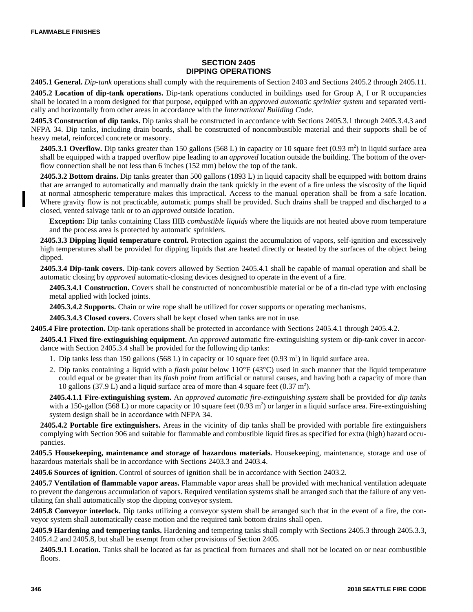#### **SECTION 2405 DIPPING OPERATIONS**

**2405.1 General.** *Dip-tank* operations shall comply with the requirements of Section 2403 and Sections 2405.2 through 2405.11.

**2405.2 Location of dip-tank operations.** Dip-tank operations conducted in buildings used for Group A, I or R occupancies shall be located in a room designed for that purpose, equipped with an *approved automatic sprinkler system* and separated vertically and horizontally from other areas in accordance with the *International Building Code*.

**2405.3 Construction of dip tanks.** Dip tanks shall be constructed in accordance with Sections 2405.3.1 through 2405.3.4.3 and NFPA 34. Dip tanks, including drain boards, shall be constructed of noncombustible material and their supports shall be of heavy metal, reinforced concrete or masonry.

**2405.3.1 Overflow.** Dip tanks greater than 150 gallons (568 L) in capacity or 10 square feet  $(0.93 \text{ m}^2)$  in liquid surface area shall be equipped with a trapped overflow pipe leading to an *approved* location outside the building. The bottom of the overflow connection shall be not less than 6 inches (152 mm) below the top of the tank.

**2405.3.2 Bottom drains.** Dip tanks greater than 500 gallons (1893 L) in liquid capacity shall be equipped with bottom drains that are arranged to automatically and manually drain the tank quickly in the event of a fire unless the viscosity of the liquid at normal atmospheric temperature makes this impractical. Access to the manual operation shall be from a safe location. Where gravity flow is not practicable, automatic pumps shall be provided. Such drains shall be trapped and discharged to a closed, vented salvage tank or to an *approved* outside location.

**Exception:** Dip tanks containing Class IIIB *combustible liquids* where the liquids are not heated above room temperature and the process area is protected by automatic sprinklers.

**2405.3.3 Dipping liquid temperature control.** Protection against the accumulation of vapors, self-ignition and excessively high temperatures shall be provided for dipping liquids that are heated directly or heated by the surfaces of the object being dipped.

**2405.3.4 Dip-tank covers.** Dip-tank covers allowed by Section 2405.4.1 shall be capable of manual operation and shall be automatic closing by *approved* automatic-closing devices designed to operate in the event of a fire.

**2405.3.4.1 Construction.** Covers shall be constructed of noncombustible material or be of a tin-clad type with enclosing metal applied with locked joints.

**2405.3.4.2 Supports.** Chain or wire rope shall be utilized for cover supports or operating mechanisms.

**2405.3.4.3 Closed covers.** Covers shall be kept closed when tanks are not in use.

**2405.4 Fire protection.** Dip-tank operations shall be protected in accordance with Sections 2405.4.1 through 2405.4.2.

**2405.4.1 Fixed fire-extinguishing equipment.** An *approved* automatic fire-extinguishing system or dip-tank cover in accordance with Section 2405.3.4 shall be provided for the following dip tanks:

- 1. Dip tanks less than 150 gallons (568 L) in capacity or 10 square feet (0.93 m<sup>2</sup>) in liquid surface area.
- 2. Dip tanks containing a liquid with a *flash point* below 110°F (43°C) used in such manner that the liquid temperature could equal or be greater than its *flash point* from artificial or natural causes, and having both a capacity of more than 10 gallons (37.9 L) and a liquid surface area of more than 4 square feet (0.37 m<sup>2</sup>).

**2405.4.1.1 Fire-extinguishing system.** An *approved automatic fire-extinguishing system* shall be provided for *dip tanks* with a 150-gallon (568 L) or more capacity or 10 square feet (0.93  $m<sup>2</sup>$ ) or larger in a liquid surface area. Fire-extinguishing system design shall be in accordance with NFPA 34.

**2405.4.2 Portable fire extinguishers.** Areas in the vicinity of dip tanks shall be provided with portable fire extinguishers complying with Section 906 and suitable for flammable and combustible liquid fires as specified for extra (high) hazard occupancies.

**2405.5 Housekeeping, maintenance and storage of hazardous materials.** Housekeeping, maintenance, storage and use of hazardous materials shall be in accordance with Sections 2403.3 and 2403.4.

**2405.6 Sources of ignition.** Control of sources of ignition shall be in accordance with Section 2403.2.

**2405.7 Ventilation of flammable vapor areas.** Flammable vapor areas shall be provided with mechanical ventilation adequate to prevent the dangerous accumulation of vapors. Required ventilation systems shall be arranged such that the failure of any ventilating fan shall automatically stop the dipping conveyor system.

**2405.8 Conveyor interlock.** Dip tanks utilizing a conveyor system shall be arranged such that in the event of a fire, the conveyor system shall automatically cease motion and the required tank bottom drains shall open.

**2405.9 Hardening and tempering tanks.** Hardening and tempering tanks shall comply with Sections 2405.3 through 2405.3.3, 2405.4.2 and 2405.8, but shall be exempt from other provisions of Section 2405.

**2405.9.1 Location.** Tanks shall be located as far as practical from furnaces and shall not be located on or near combustible floors.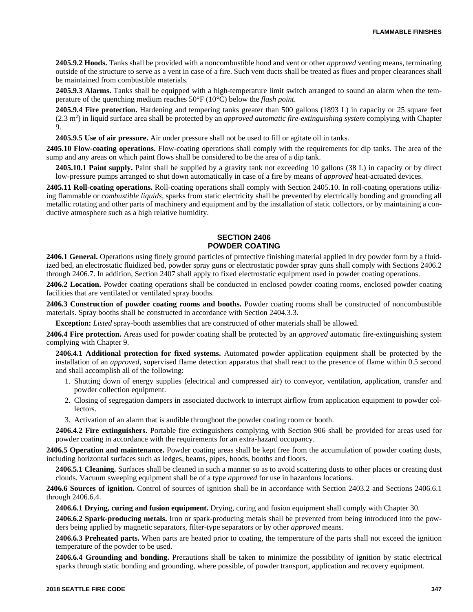**2405.9.2 Hoods.** Tanks shall be provided with a noncombustible hood and vent or other *approved* venting means, terminating outside of the structure to serve as a vent in case of a fire. Such vent ducts shall be treated as flues and proper clearances shall be maintained from combustible materials.

**2405.9.3 Alarms.** Tanks shall be equipped with a high-temperature limit switch arranged to sound an alarm when the temperature of the quenching medium reaches 50°F (10°C) below the *flash point*.

**2405.9.4 Fire protection.** Hardening and tempering tanks greater than 500 gallons (1893 L) in capacity or 25 square feet (2.3 m<sup>2</sup> ) in liquid surface area shall be protected by an *approved automatic fire-extinguishing system* complying with Chapter 9.

**2405.9.5 Use of air pressure.** Air under pressure shall not be used to fill or agitate oil in tanks.

**2405.10 Flow-coating operations.** Flow-coating operations shall comply with the requirements for dip tanks. The area of the sump and any areas on which paint flows shall be considered to be the area of a dip tank.

**2405.10.1 Paint supply.** Paint shall be supplied by a gravity tank not exceeding 10 gallons (38 L) in capacity or by direct low-pressure pumps arranged to shut down automatically in case of a fire by means of *approved* heat-actuated devices.

**2405.11 Roll-coating operations.** Roll-coating operations shall comply with Section 2405.10. In roll-coating operations utilizing flammable or *combustible liquids*, sparks from static electricity shall be prevented by electrically bonding and grounding all metallic rotating and other parts of machinery and equipment and by the installation of static collectors, or by maintaining a conductive atmosphere such as a high relative humidity.

#### **SECTION 2406 POWDER COATING**

**2406.1 General.** Operations using finely ground particles of protective finishing material applied in dry powder form by a fluidized bed, an electrostatic fluidized bed, powder spray guns or electrostatic powder spray guns shall comply with Sections 2406.2 through 2406.7. In addition, Section 2407 shall apply to fixed electrostatic equipment used in powder coating operations.

**2406.2 Location.** Powder coating operations shall be conducted in enclosed powder coating rooms, enclosed powder coating facilities that are ventilated or ventilated spray booths.

**2406.3 Construction of powder coating rooms and booths.** Powder coating rooms shall be constructed of noncombustible materials. Spray booths shall be constructed in accordance with Section 2404.3.3.

**Exception:** *Listed* spray-booth assemblies that are constructed of other materials shall be allowed.

**2406.4 Fire protection.** Areas used for powder coating shall be protected by an *approved* automatic fire-extinguishing system complying with Chapter 9.

**2406.4.1 Additional protection for fixed systems.** Automated powder application equipment shall be protected by the installation of an *approved*, supervised flame detection apparatus that shall react to the presence of flame within 0.5 second and shall accomplish all of the following:

- 1. Shutting down of energy supplies (electrical and compressed air) to conveyor, ventilation, application, transfer and powder collection equipment.
- 2. Closing of segregation dampers in associated ductwork to interrupt airflow from application equipment to powder collectors.
- 3. Activation of an alarm that is audible throughout the powder coating room or booth.

**2406.4.2 Fire extinguishers.** Portable fire extinguishers complying with Section 906 shall be provided for areas used for powder coating in accordance with the requirements for an extra-hazard occupancy.

**2406.5 Operation and maintenance.** Powder coating areas shall be kept free from the accumulation of powder coating dusts, including horizontal surfaces such as ledges, beams, pipes, hoods, booths and floors.

**2406.5.1 Cleaning.** Surfaces shall be cleaned in such a manner so as to avoid scattering dusts to other places or creating dust clouds. Vacuum sweeping equipment shall be of a type *approved* for use in hazardous locations.

**2406.6 Sources of ignition.** Control of sources of ignition shall be in accordance with Section 2403.2 and Sections 2406.6.1 through 2406.6.4.

**2406.6.1 Drying, curing and fusion equipment.** Drying, curing and fusion equipment shall comply with Chapter 30.

**2406.6.2 Spark-producing metals.** Iron or spark-producing metals shall be prevented from being introduced into the powders being applied by magnetic separators, filter-type separators or by other *approved* means.

**2406.6.3 Preheated parts.** When parts are heated prior to coating, the temperature of the parts shall not exceed the ignition temperature of the powder to be used.

**2406.6.4 Grounding and bonding.** Precautions shall be taken to minimize the possibility of ignition by static electrical sparks through static bonding and grounding, where possible, of powder transport, application and recovery equipment.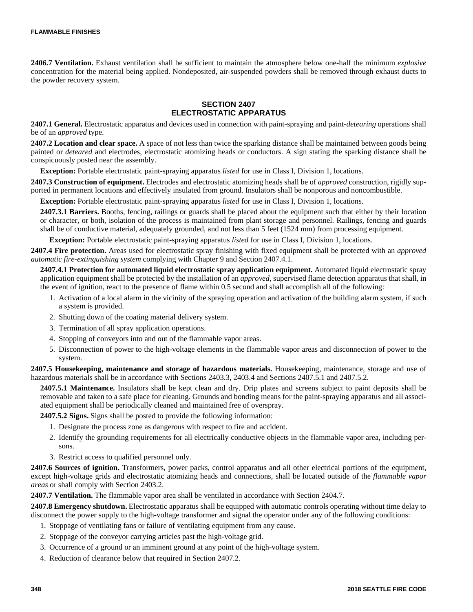**2406.7 Ventilation.** Exhaust ventilation shall be sufficient to maintain the atmosphere below one-half the minimum *explosive* concentration for the material being applied. Nondeposited, air-suspended powders shall be removed through exhaust ducts to the powder recovery system.

## **SECTION 2407 ELECTROSTATIC APPARATUS**

**2407.1 General.** Electrostatic apparatus and devices used in connection with paint-spraying and paint-*detearing* operations shall be of an *approved* type.

**2407.2 Location and clear space.** A space of not less than twice the sparking distance shall be maintained between goods being painted or *deteared* and electrodes, electrostatic atomizing heads or conductors. A sign stating the sparking distance shall be conspicuously posted near the assembly.

**Exception:** Portable electrostatic paint-spraying apparatus *listed* for use in Class I, Division 1, locations.

**2407.3 Construction of equipment.** Electrodes and electrostatic atomizing heads shall be of *approved* construction, rigidly supported in permanent locations and effectively insulated from ground. Insulators shall be nonporous and noncombustible.

**Exception:** Portable electrostatic paint-spraying apparatus *listed* for use in Class I, Division 1, locations.

**2407.3.1 Barriers.** Booths, fencing, railings or guards shall be placed about the equipment such that either by their location or character, or both, isolation of the process is maintained from plant storage and personnel. Railings, fencing and guards shall be of conductive material, adequately grounded, and not less than 5 feet (1524 mm) from processing equipment.

**Exception:** Portable electrostatic paint-spraying apparatus *listed* for use in Class I, Division 1, locations.

**2407.4 Fire protection.** Areas used for electrostatic spray finishing with fixed equipment shall be protected with an *approved automatic fire-extinguishing system* complying with Chapter 9 and Section 2407.4.1.

**2407.4.1 Protection for automated liquid electrostatic spray application equipment.** Automated liquid electrostatic spray application equipment shall be protected by the installation of an *approved*, supervised flame detection apparatus that shall, in the event of ignition, react to the presence of flame within 0.5 second and shall accomplish all of the following:

- 1. Activation of a local alarm in the vicinity of the spraying operation and activation of the building alarm system, if such a system is provided.
- 2. Shutting down of the coating material delivery system.
- 3. Termination of all spray application operations.
- 4. Stopping of conveyors into and out of the flammable vapor areas.
- 5. Disconnection of power to the high-voltage elements in the flammable vapor areas and disconnection of power to the system.

**2407.5 Housekeeping, maintenance and storage of hazardous materials.** Housekeeping, maintenance, storage and use of hazardous materials shall be in accordance with Sections 2403.3, 2403.4 and Sections 2407.5.1 and 2407.5.2.

**2407.5.1 Maintenance.** Insulators shall be kept clean and dry. Drip plates and screens subject to paint deposits shall be removable and taken to a safe place for cleaning. Grounds and bonding means for the paint-spraying apparatus and all associated equipment shall be periodically cleaned and maintained free of overspray.

**2407.5.2 Signs.** Signs shall be posted to provide the following information:

- 1. Designate the process zone as dangerous with respect to fire and accident.
- 2. Identify the grounding requirements for all electrically conductive objects in the flammable vapor area, including persons.
- 3. Restrict access to qualified personnel only.

**2407.6 Sources of ignition.** Transformers, power packs, control apparatus and all other electrical portions of the equipment, except high-voltage grids and electrostatic atomizing heads and connections, shall be located outside of the *flammable vapor areas* or shall comply with Section 2403.2.

**2407.7 Ventilation.** The flammable vapor area shall be ventilated in accordance with Section 2404.7.

**2407.8 Emergency shutdown.** Electrostatic apparatus shall be equipped with automatic controls operating without time delay to disconnect the power supply to the high-voltage transformer and signal the operator under any of the following conditions:

- 1. Stoppage of ventilating fans or failure of ventilating equipment from any cause.
- 2. Stoppage of the conveyor carrying articles past the high-voltage grid.
- 3. Occurrence of a ground or an imminent ground at any point of the high-voltage system.
- 4. Reduction of clearance below that required in Section 2407.2.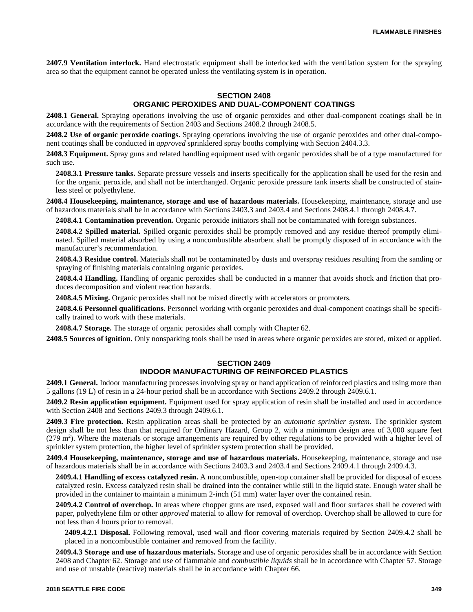**2407.9 Ventilation interlock.** Hand electrostatic equipment shall be interlocked with the ventilation system for the spraying area so that the equipment cannot be operated unless the ventilating system is in operation.

#### **SECTION 2408 ORGANIC PEROXIDES AND DUAL-COMPONENT COATINGS**

**2408.1 General.** Spraying operations involving the use of organic peroxides and other dual-component coatings shall be in accordance with the requirements of Section 2403 and Sections 2408.2 through 2408.5.

**2408.2 Use of organic peroxide coatings.** Spraying operations involving the use of organic peroxides and other dual-component coatings shall be conducted in *approved* sprinklered spray booths complying with Section 2404.3.3.

**2408.3 Equipment.** Spray guns and related handling equipment used with organic peroxides shall be of a type manufactured for such use.

**2408.3.1 Pressure tanks.** Separate pressure vessels and inserts specifically for the application shall be used for the resin and for the organic peroxide, and shall not be interchanged. Organic peroxide pressure tank inserts shall be constructed of stainless steel or polyethylene.

**2408.4 Housekeeping, maintenance, storage and use of hazardous materials.** Housekeeping, maintenance, storage and use of hazardous materials shall be in accordance with Sections 2403.3 and 2403.4 and Sections 2408.4.1 through 2408.4.7.

**2408.4.1 Contamination prevention.** Organic peroxide initiators shall not be contaminated with foreign substances.

**2408.4.2 Spilled material.** Spilled organic peroxides shall be promptly removed and any residue thereof promptly eliminated. Spilled material absorbed by using a noncombustible absorbent shall be promptly disposed of in accordance with the manufacturer's recommendation.

**2408.4.3 Residue control.** Materials shall not be contaminated by dusts and overspray residues resulting from the sanding or spraying of finishing materials containing organic peroxides.

**2408.4.4 Handling.** Handling of organic peroxides shall be conducted in a manner that avoids shock and friction that produces decomposition and violent reaction hazards.

**2408.4.5 Mixing.** Organic peroxides shall not be mixed directly with accelerators or promoters.

**2408.4.6 Personnel qualifications.** Personnel working with organic peroxides and dual-component coatings shall be specifically trained to work with these materials.

**2408.4.7 Storage.** The storage of organic peroxides shall comply with Chapter 62.

**2408.5 Sources of ignition.** Only nonsparking tools shall be used in areas where organic peroxides are stored, mixed or applied.

# **SECTION 2409**

# **INDOOR MANUFACTURING OF REINFORCED PLASTICS**

**2409.1 General.** Indoor manufacturing processes involving spray or hand application of reinforced plastics and using more than 5 gallons (19 L) of resin in a 24-hour period shall be in accordance with Sections 2409.2 through 2409.6.1.

**2409.2 Resin application equipment.** Equipment used for spray application of resin shall be installed and used in accordance with Section 2408 and Sections 2409.3 through 2409.6.1.

**2409.3 Fire protection.** Resin application areas shall be protected by an *automatic sprinkler system.* The sprinkler system design shall be not less than that required for Ordinary Hazard, Group 2, with a minimum design area of 3,000 square feet  $(279 \text{ m}^2)$ . Where the materials or storage arrangements are required by other regulations to be provided with a higher level of sprinkler system protection, the higher level of sprinkler system protection shall be provided.

**2409.4 Housekeeping, maintenance, storage and use of hazardous materials.** Housekeeping, maintenance, storage and use of hazardous materials shall be in accordance with Sections 2403.3 and 2403.4 and Sections 2409.4.1 through 2409.4.3.

**2409.4.1 Handling of excess catalyzed resin.** A noncombustible, open-top container shall be provided for disposal of excess catalyzed resin. Excess catalyzed resin shall be drained into the container while still in the liquid state. Enough water shall be provided in the container to maintain a minimum 2-inch (51 mm) water layer over the contained resin.

**2409.4.2 Control of overchop.** In areas where chopper guns are used, exposed wall and floor surfaces shall be covered with paper, polyethylene film or other *approved* material to allow for removal of overchop. Overchop shall be allowed to cure for not less than 4 hours prior to removal.

**2409.4.2.1 Disposal.** Following removal, used wall and floor covering materials required by Section 2409.4.2 shall be placed in a noncombustible container and removed from the facility.

**2409.4.3 Storage and use of hazardous materials.** Storage and use of organic peroxides shall be in accordance with Section 2408 and Chapter 62. Storage and use of flammable and *combustible liquids* shall be in accordance with Chapter 57. Storage and use of unstable (reactive) materials shall be in accordance with Chapter 66.